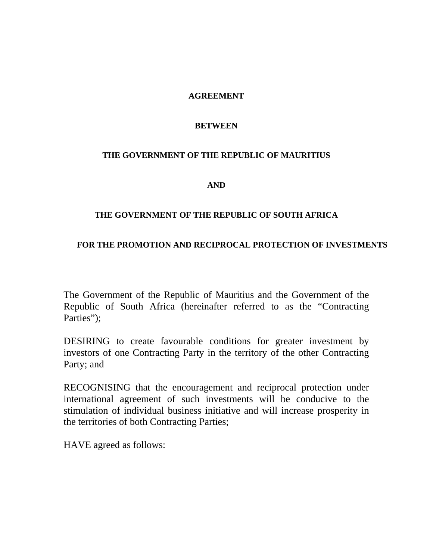# **AGREEMENT**

# **BETWEEN**

# **THE GOVERNMENT OF THE REPUBLIC OF MAURITIUS**

**AND** 

# **THE GOVERNMENT OF THE REPUBLIC OF SOUTH AFRICA**

# **FOR THE PROMOTION AND RECIPROCAL PROTECTION OF INVESTMENTS**

The Government of the Republic of Mauritius and the Government of the Republic of South Africa (hereinafter referred to as the "Contracting Parties");

DESIRING to create favourable conditions for greater investment by investors of one Contracting Party in the territory of the other Contracting Party; and

RECOGNISING that the encouragement and reciprocal protection under international agreement of such investments will be conducive to the stimulation of individual business initiative and will increase prosperity in the territories of both Contracting Parties;

HAVE agreed as follows: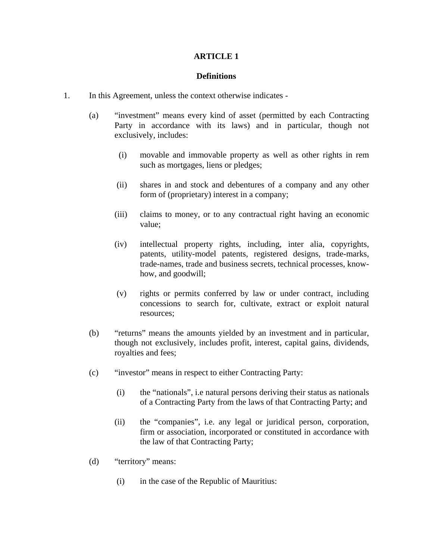### **Definitions**

- 1. In this Agreement, unless the context otherwise indicates
	- (a) "investment" means every kind of asset (permitted by each Contracting Party in accordance with its laws) and in particular, though not exclusively, includes:
		- (i) movable and immovable property as well as other rights in rem such as mortgages, liens or pledges;
		- (ii) shares in and stock and debentures of a company and any other form of (proprietary) interest in a company;
		- (iii) claims to money, or to any contractual right having an economic value;
		- (iv) intellectual property rights, including, inter alia, copyrights, patents, utility-model patents, registered designs, trade-marks, trade-names, trade and business secrets, technical processes, knowhow, and goodwill;
		- (v) rights or permits conferred by law or under contract, including concessions to search for, cultivate, extract or exploit natural resources;
	- (b) "returns" means the amounts yielded by an investment and in particular, though not exclusively, includes profit, interest, capital gains, dividends, royalties and fees;
	- (c) "investor" means in respect to either Contracting Party:
		- (i) the "nationals", i.e natural persons deriving their status as nationals of a Contracting Party from the laws of that Contracting Party; and
		- (ii) the "companies", i.e. any legal or juridical person, corporation, firm or association, incorporated or constituted in accordance with the law of that Contracting Party;
	- (d) "territory" means:
		- (i) in the case of the Republic of Mauritius: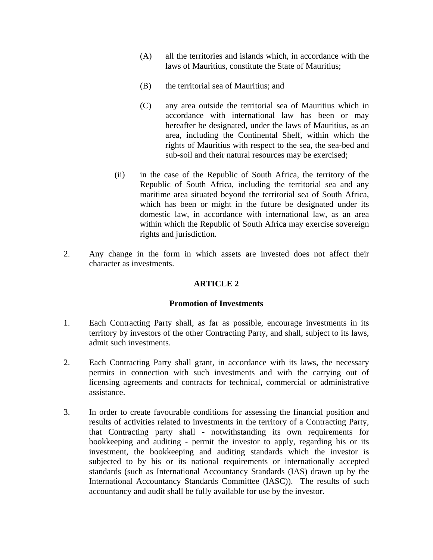- (A) all the territories and islands which, in accordance with the laws of Mauritius, constitute the State of Mauritius;
- (B) the territorial sea of Mauritius; and
- (C) any area outside the territorial sea of Mauritius which in accordance with international law has been or may hereafter be designated, under the laws of Mauritius, as an area, including the Continental Shelf, within which the rights of Mauritius with respect to the sea, the sea-bed and sub-soil and their natural resources may be exercised;
- (ii) in the case of the Republic of South Africa, the territory of the Republic of South Africa, including the territorial sea and any maritime area situated beyond the territorial sea of South Africa, which has been or might in the future be designated under its domestic law, in accordance with international law, as an area within which the Republic of South Africa may exercise sovereign rights and jurisdiction.
- 2. Any change in the form in which assets are invested does not affect their character as investments.

### **Promotion of Investments**

- 1. Each Contracting Party shall, as far as possible, encourage investments in its territory by investors of the other Contracting Party, and shall, subject to its laws, admit such investments.
- 2. Each Contracting Party shall grant, in accordance with its laws, the necessary permits in connection with such investments and with the carrying out of licensing agreements and contracts for technical, commercial or administrative assistance.
- 3. In order to create favourable conditions for assessing the financial position and results of activities related to investments in the territory of a Contracting Party, that Contracting party shall - notwithstanding its own requirements for bookkeeping and auditing - permit the investor to apply, regarding his or its investment, the bookkeeping and auditing standards which the investor is subjected to by his or its national requirements or internationally accepted standards (such as International Accountancy Standards (IAS) drawn up by the International Accountancy Standards Committee (IASC)). The results of such accountancy and audit shall be fully available for use by the investor.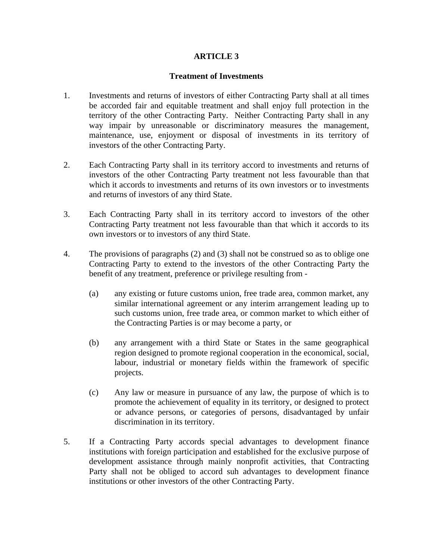#### **Treatment of Investments**

- 1. Investments and returns of investors of either Contracting Party shall at all times be accorded fair and equitable treatment and shall enjoy full protection in the territory of the other Contracting Party. Neither Contracting Party shall in any way impair by unreasonable or discriminatory measures the management, maintenance, use, enjoyment or disposal of investments in its territory of investors of the other Contracting Party.
- 2. Each Contracting Party shall in its territory accord to investments and returns of investors of the other Contracting Party treatment not less favourable than that which it accords to investments and returns of its own investors or to investments and returns of investors of any third State.
- 3. Each Contracting Party shall in its territory accord to investors of the other Contracting Party treatment not less favourable than that which it accords to its own investors or to investors of any third State.
- 4. The provisions of paragraphs (2) and (3) shall not be construed so as to oblige one Contracting Party to extend to the investors of the other Contracting Party the benefit of any treatment, preference or privilege resulting from -
	- (a) any existing or future customs union, free trade area, common market, any similar international agreement or any interim arrangement leading up to such customs union, free trade area, or common market to which either of the Contracting Parties is or may become a party, or
	- (b) any arrangement with a third State or States in the same geographical region designed to promote regional cooperation in the economical, social, labour, industrial or monetary fields within the framework of specific projects.
	- (c) Any law or measure in pursuance of any law, the purpose of which is to promote the achievement of equality in its territory, or designed to protect or advance persons, or categories of persons, disadvantaged by unfair discrimination in its territory.
- 5. If a Contracting Party accords special advantages to development finance institutions with foreign participation and established for the exclusive purpose of development assistance through mainly nonprofit activities, that Contracting Party shall not be obliged to accord suh advantages to development finance institutions or other investors of the other Contracting Party.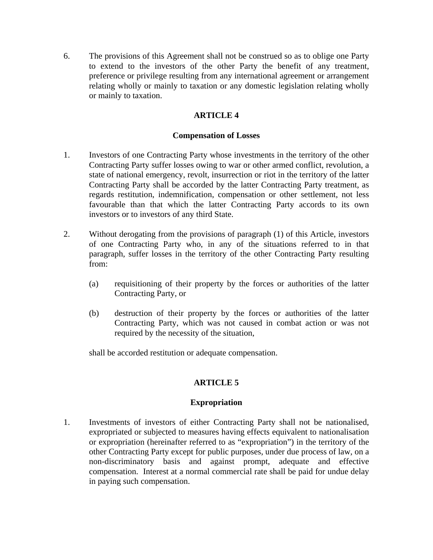6. The provisions of this Agreement shall not be construed so as to oblige one Party to extend to the investors of the other Party the benefit of any treatment, preference or privilege resulting from any international agreement or arrangement relating wholly or mainly to taxation or any domestic legislation relating wholly or mainly to taxation.

# **ARTICLE 4**

## **Compensation of Losses**

- 1. Investors of one Contracting Party whose investments in the territory of the other Contracting Party suffer losses owing to war or other armed conflict, revolution, a state of national emergency, revolt, insurrection or riot in the territory of the latter Contracting Party shall be accorded by the latter Contracting Party treatment, as regards restitution, indemnification, compensation or other settlement, not less favourable than that which the latter Contracting Party accords to its own investors or to investors of any third State.
- 2. Without derogating from the provisions of paragraph (1) of this Article, investors of one Contracting Party who, in any of the situations referred to in that paragraph, suffer losses in the territory of the other Contracting Party resulting from:
	- (a) requisitioning of their property by the forces or authorities of the latter Contracting Party, or
	- (b) destruction of their property by the forces or authorities of the latter Contracting Party, which was not caused in combat action or was not required by the necessity of the situation,

shall be accorded restitution or adequate compensation.

# **ARTICLE 5**

# **Expropriation**

1. Investments of investors of either Contracting Party shall not be nationalised, expropriated or subjected to measures having effects equivalent to nationalisation or expropriation (hereinafter referred to as "expropriation") in the territory of the other Contracting Party except for public purposes, under due process of law, on a non-discriminatory basis and against prompt, adequate and effective compensation. Interest at a normal commercial rate shall be paid for undue delay in paying such compensation.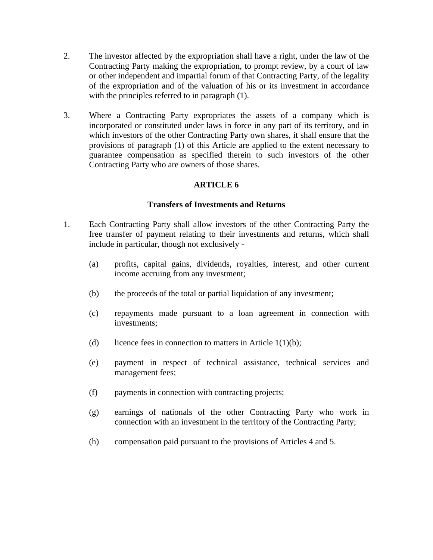- 2. The investor affected by the expropriation shall have a right, under the law of the Contracting Party making the expropriation, to prompt review, by a court of law or other independent and impartial forum of that Contracting Party, of the legality of the expropriation and of the valuation of his or its investment in accordance with the principles referred to in paragraph  $(1)$ .
- 3. Where a Contracting Party expropriates the assets of a company which is incorporated or constituted under laws in force in any part of its territory, and in which investors of the other Contracting Party own shares, it shall ensure that the provisions of paragraph (1) of this Article are applied to the extent necessary to guarantee compensation as specified therein to such investors of the other Contracting Party who are owners of those shares.

### **Transfers of Investments and Returns**

- 1. Each Contracting Party shall allow investors of the other Contracting Party the free transfer of payment relating to their investments and returns, which shall include in particular, though not exclusively -
	- (a) profits, capital gains, dividends, royalties, interest, and other current income accruing from any investment;
	- (b) the proceeds of the total or partial liquidation of any investment;
	- (c) repayments made pursuant to a loan agreement in connection with investments;
	- (d) licence fees in connection to matters in Article  $1(1)(b)$ ;
	- (e) payment in respect of technical assistance, technical services and management fees;
	- (f) payments in connection with contracting projects;
	- (g) earnings of nationals of the other Contracting Party who work in connection with an investment in the territory of the Contracting Party;
	- (h) compensation paid pursuant to the provisions of Articles 4 and 5.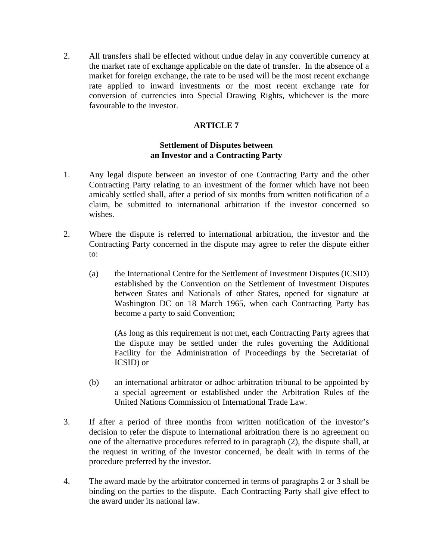2. All transfers shall be effected without undue delay in any convertible currency at the market rate of exchange applicable on the date of transfer. In the absence of a market for foreign exchange, the rate to be used will be the most recent exchange rate applied to inward investments or the most recent exchange rate for conversion of currencies into Special Drawing Rights, whichever is the more favourable to the investor.

# **ARTICLE 7**

# **Settlement of Disputes between an Investor and a Contracting Party**

- 1. Any legal dispute between an investor of one Contracting Party and the other Contracting Party relating to an investment of the former which have not been amicably settled shall, after a period of six months from written notification of a claim, be submitted to international arbitration if the investor concerned so wishes.
- 2. Where the dispute is referred to international arbitration, the investor and the Contracting Party concerned in the dispute may agree to refer the dispute either to:
	- (a) the International Centre for the Settlement of Investment Disputes (ICSID) established by the Convention on the Settlement of Investment Disputes between States and Nationals of other States, opened for signature at Washington DC on 18 March 1965, when each Contracting Party has become a party to said Convention;

 (As long as this requirement is not met, each Contracting Party agrees that the dispute may be settled under the rules governing the Additional Facility for the Administration of Proceedings by the Secretariat of ICSID) or

- (b) an international arbitrator or adhoc arbitration tribunal to be appointed by a special agreement or established under the Arbitration Rules of the United Nations Commission of International Trade Law.
- 3. If after a period of three months from written notification of the investor's decision to refer the dispute to international arbitration there is no agreement on one of the alternative procedures referred to in paragraph (2), the dispute shall, at the request in writing of the investor concerned, be dealt with in terms of the procedure preferred by the investor.
- 4. The award made by the arbitrator concerned in terms of paragraphs 2 or 3 shall be binding on the parties to the dispute. Each Contracting Party shall give effect to the award under its national law.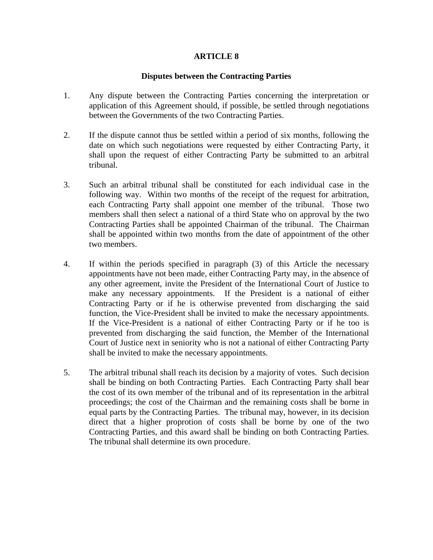#### **Disputes between the Contracting Parties**

- 1. Any dispute between the Contracting Parties concerning the interpretation or application of this Agreement should, if possible, be settled through negotiations between the Governments of the two Contracting Parties.
- 2. If the dispute cannot thus be settled within a period of six months, following the date on which such negotiations were requested by either Contracting Party, it shall upon the request of either Contracting Party be submitted to an arbitral tribunal.
- 3. Such an arbitral tribunal shall be constituted for each individual case in the following way. Within two months of the receipt of the request for arbitration, each Contracting Party shall appoint one member of the tribunal. Those two members shall then select a national of a third State who on approval by the two Contracting Parties shall be appointed Chairman of the tribunal. The Chairman shall be appointed within two months from the date of appointment of the other two members.
- 4. If within the periods specified in paragraph (3) of this Article the necessary appointments have not been made, either Contracting Party may, in the absence of any other agreement, invite the President of the International Court of Justice to make any necessary appointments. If the President is a national of either Contracting Party or if he is otherwise prevented from discharging the said function, the Vice-President shall be invited to make the necessary appointments. If the Vice-President is a national of either Contracting Party or if he too is prevented from discharging the said function, the Member of the International Court of Justice next in seniority who is not a national of either Contracting Party shall be invited to make the necessary appointments.
- 5. The arbitral tribunal shall reach its decision by a majority of votes. Such decision shall be binding on both Contracting Parties. Each Contracting Party shall bear the cost of its own member of the tribunal and of its representation in the arbitral proceedings; the cost of the Chairman and the remaining costs shall be borne in equal parts by the Contracting Parties. The tribunal may, however, in its decision direct that a higher proprotion of costs shall be borne by one of the two Contracting Parties, and this award shall be binding on both Contracting Parties. The tribunal shall determine its own procedure.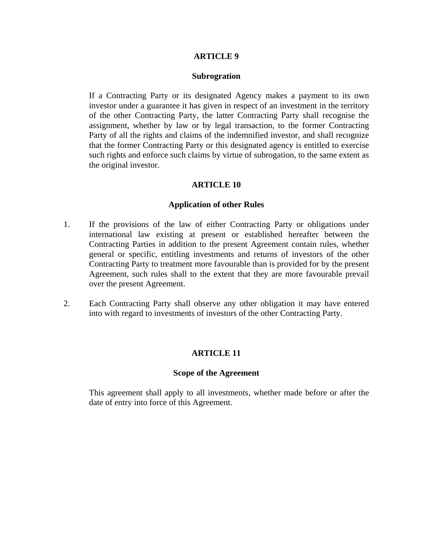#### **Subrogration**

 If a Contracting Party or its designated Agency makes a payment to its own investor under a guarantee it has given in respect of an investment in the territory of the other Contracting Party, the latter Contracting Party shall recognise the assignment, whether by law or by legal transaction, to the former Contracting Party of all the rights and claims of the indemnified investor, and shall recognize that the former Contracting Party or this designated agency is entitled to exercise such rights and enforce such claims by virtue of subrogation, to the same extent as the original investor.

### **ARTICLE 10**

#### **Application of other Rules**

- 1. If the provisions of the law of either Contracting Party or obligations under international law existing at present or established hereafter between the Contracting Parties in addition to the present Agreement contain rules, whether general or specific, entitling investments and returns of investors of the other Contracting Party to treatment more favourable than is provided for by the present Agreement, such rules shall to the extent that they are more favourable prevail over the present Agreement.
- 2. Each Contracting Party shall observe any other obligation it may have entered into with regard to investments of investors of the other Contracting Party.

### **ARTICLE 11**

#### **Scope of the Agreement**

 This agreement shall apply to all investments, whether made before or after the date of entry into force of this Agreement.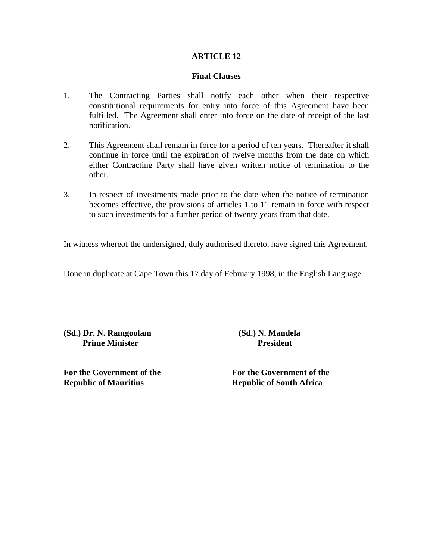### **Final Clauses**

- 1. The Contracting Parties shall notify each other when their respective constitutional requirements for entry into force of this Agreement have been fulfilled. The Agreement shall enter into force on the date of receipt of the last notification.
- 2. This Agreement shall remain in force for a period of ten years. Thereafter it shall continue in force until the expiration of twelve months from the date on which either Contracting Party shall have given written notice of termination to the other.
- 3. In respect of investments made prior to the date when the notice of termination becomes effective, the provisions of articles 1 to 11 remain in force with respect to such investments for a further period of twenty years from that date.

In witness whereof the undersigned, duly authorised thereto, have signed this Agreement.

Done in duplicate at Cape Town this 17 day of February 1998, in the English Language.

**(Sd.) Dr. N. Ramgoolam (Sd.) N. Mandela Prime Minister President President** 

**For the Government of the For the Government of the Republic of Mauritius Republic of South Africa**